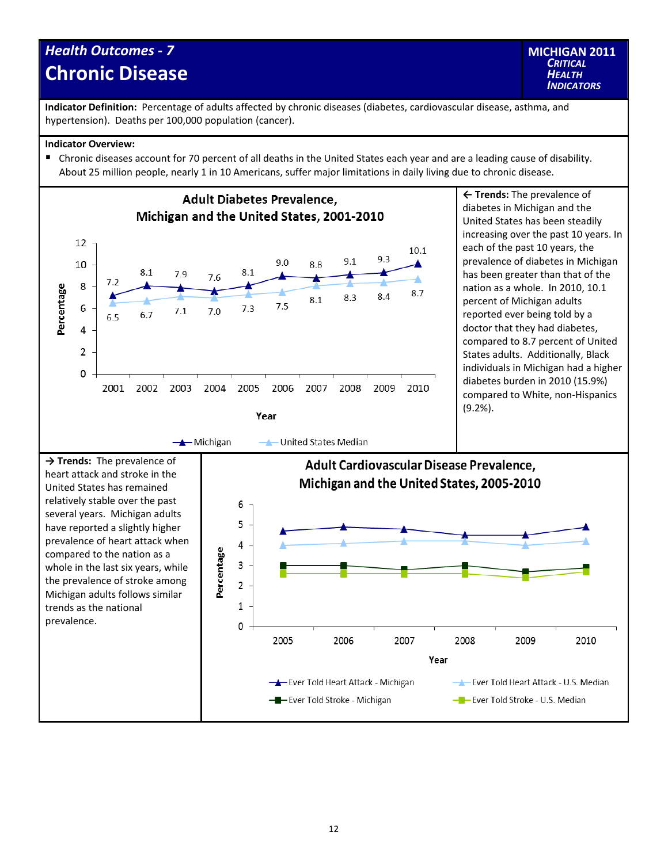## *Health Outcomes ‐ 7* **Chronic Disease**



**Indicator Definition:** Percentage of adults affected by chronic diseases (diabetes, cardiovascular disease, asthma, and hypertension). Deaths per 100,000 population (cancer).

## **Indicator Overview:**

Chronic diseases account for 70 percent of all deaths in the United States each year and are a leading cause of disability. About 25 million people, nearly 1 in 10 Americans, suffer major limitations in daily living due to chronic disease.